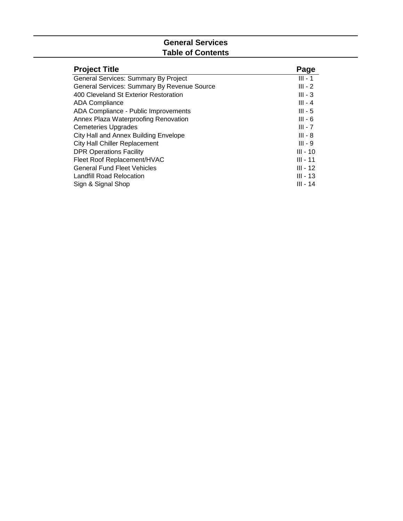# **General Services Table of Contents**

| <b>Project Title</b>                        | Page       |
|---------------------------------------------|------------|
| <b>General Services: Summary By Project</b> | $III - 1$  |
| General Services: Summary By Revenue Source | $III - 2$  |
| 400 Cleveland St Exterior Restoration       | $III - 3$  |
| <b>ADA Compliance</b>                       | $III - 4$  |
| ADA Compliance - Public Improvements        | $III - 5$  |
| Annex Plaza Waterproofing Renovation        | $III - 6$  |
| <b>Cemeteries Upgrades</b>                  | $III - 7$  |
| City Hall and Annex Building Envelope       | $III - 8$  |
| <b>City Hall Chiller Replacement</b>        | $III - 9$  |
| <b>DPR Operations Facility</b>              | $III - 10$ |
| Fleet Roof Replacement/HVAC                 | $III - 11$ |
| <b>General Fund Fleet Vehicles</b>          | $III - 12$ |
| Landfill Road Relocation                    | $III - 13$ |
| Sign & Signal Shop                          | III - 14   |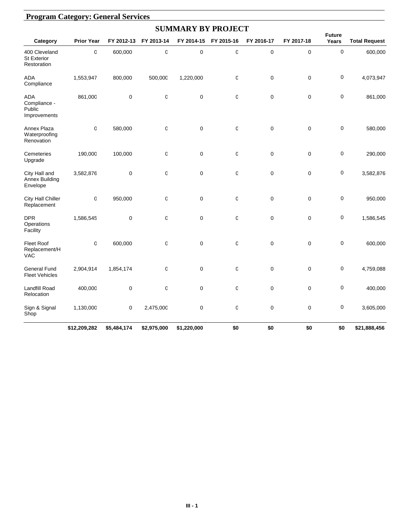|                                                    |                   |             |             | <b>SUMMARY BY PROJECT</b> |             |             |             |                        |                      |
|----------------------------------------------------|-------------------|-------------|-------------|---------------------------|-------------|-------------|-------------|------------------------|----------------------|
| Category                                           | <b>Prior Year</b> | FY 2012-13  | FY 2013-14  | FY 2014-15                | FY 2015-16  | FY 2016-17  | FY 2017-18  | <b>Future</b><br>Years | <b>Total Request</b> |
| 400 Cleveland<br><b>St Exterior</b><br>Restoration | 0                 | 600,000     | 0           | $\mathbf 0$               | 0           | 0           | 0           | $\pmb{0}$              | 600,000              |
| ADA<br>Compliance                                  | 1,553,947         | 800,000     | 500,000     | 1,220,000                 | 0           | 0           | 0           | $\mathbf 0$            | 4,073,947            |
| ADA<br>Compliance -<br>Public<br>Improvements      | 861,000           | $\mathbf 0$ | 0           | $\mathbf 0$               | $\mathbf 0$ | $\mathbf 0$ | 0           | 0                      | 861,000              |
| Annex Plaza<br>Waterproofing<br>Renovation         | 0                 | 580,000     | 0           | $\mathbf 0$               | 0           | 0           | 0           | $\pmb{0}$              | 580,000              |
| Cemeteries<br>Upgrade                              | 190,000           | 100,000     | 0           | $\mathbf 0$               | 0           | 0           | 0           | $\mathbf 0$            | 290,000              |
| City Hall and<br>Annex Building<br>Envelope        | 3,582,876         | $\mathbf 0$ | 0           | $\mathbf 0$               | $\mathbf 0$ | $\mathbf 0$ | 0           | 0                      | 3,582,876            |
| City Hall Chiller<br>Replacement                   | $\mathsf 0$       | 950,000     | $\mathsf 0$ | $\mathbf 0$               | $\mathbf 0$ | 0           | $\mathbf 0$ | $\mathbf 0$            | 950,000              |
| <b>DPR</b><br>Operations<br>Facility               | 1,586,545         | 0           | 0           | $\pmb{0}$                 | 0           | 0           | 0           | $\pmb{0}$              | 1,586,545            |
| <b>Fleet Roof</b><br>Replacement/H<br><b>VAC</b>   | 0                 | 600,000     | 0           | $\mathbf 0$               | 0           | 0           | 0           | $\pmb{0}$              | 600,000              |
| <b>General Fund</b><br><b>Fleet Vehicles</b>       | 2,904,914         | 1,854,174   | 0           | $\pmb{0}$                 | 0           | 0           | 0           | 0                      | 4,759,088            |
| Landfill Road<br>Relocation                        | 400,000           | $\mathbf 0$ | $\mathsf 0$ | $\mathbf 0$               | $\mathbf 0$ | $\mathbf 0$ | $\mathbf 0$ | $\pmb{0}$              | 400,000              |
| Sign & Signal<br>Shop                              | 1,130,000         | $\pmb{0}$   | 2,475,000   | $\pmb{0}$                 | $\mathbf 0$ | 0           | $\mathbf 0$ | $\mathbf 0$            | 3,605,000            |
|                                                    | \$12,209,282      | \$5,484,174 | \$2,975,000 | \$1,220,000               | \$0         | \$0         | \$0         | \$0                    | \$21,888,456         |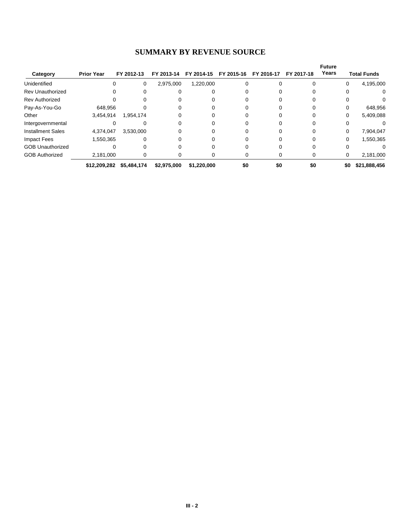#### **SUMMARY BY REVENUE SOURCE**

|                          |                   |             |             |             |            |            |            | <b>Future</b><br>Years |     |                    |
|--------------------------|-------------------|-------------|-------------|-------------|------------|------------|------------|------------------------|-----|--------------------|
| Category                 | <b>Prior Year</b> | FY 2012-13  | FY 2013-14  | FY 2014-15  | FY 2015-16 | FY 2016-17 | FY 2017-18 |                        |     | <b>Total Funds</b> |
| Unidentified             | $\Omega$          | 0           | 2,975,000   | 1,220,000   |            |            |            |                        | 0   | 4,195,000          |
| <b>Rev Unauthorized</b>  | 0                 |             |             |             |            |            |            |                        | 0   | $\Omega$           |
| <b>Rev Authorized</b>    |                   |             |             |             |            |            |            |                        |     | 0                  |
| Pay-As-You-Go            | 648,956           |             | 0           |             |            |            |            |                        | 0   | 648,956            |
| Other                    | 3,454,914         | 1,954,174   |             |             |            |            |            |                        | 0   | 5,409,088          |
| Intergovernmental        |                   |             |             |             |            |            |            |                        |     |                    |
| <b>Installment Sales</b> | 4.374.047         | 3.530.000   | 0           |             |            |            |            |                        | 0   | 7,904,047          |
| Impact Fees              | .550,365          | $\Omega$    | 0           |             |            |            |            |                        | 0   | 1,550,365          |
| <b>GOB Unauthorized</b>  |                   |             |             |             |            |            |            |                        |     |                    |
| <b>GOB Authorized</b>    | 2.181.000         | 0           | 0           |             | O          |            |            |                        | 0   | 2,181,000          |
|                          | \$12,209,282      | \$5,484,174 | \$2,975,000 | \$1,220,000 | \$0        | \$0        | \$0        |                        | \$0 | \$21,888,456       |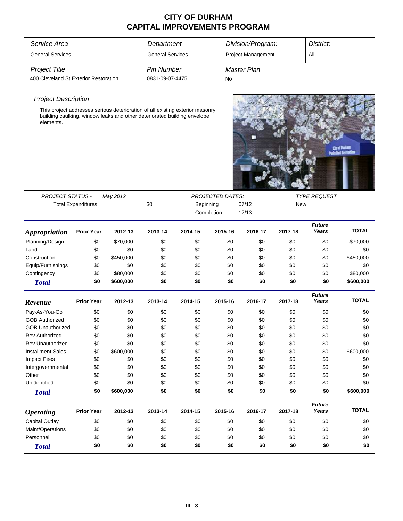| Service Area                          | Department                |           |                         | Division/Program:                                                              |                         |                           | District: |                        |              |
|---------------------------------------|---------------------------|-----------|-------------------------|--------------------------------------------------------------------------------|-------------------------|---------------------------|-----------|------------------------|--------------|
| <b>General Services</b>               |                           |           | <b>General Services</b> |                                                                                |                         | <b>Project Management</b> |           | All                    |              |
| <b>Project Title</b>                  |                           |           | <b>Pin Number</b>       |                                                                                |                         | <b>Master Plan</b>        |           |                        |              |
| 400 Cleveland St Exterior Restoration |                           |           | 0831-09-07-4475         |                                                                                | No                      |                           |           |                        |              |
| <b>Project Description</b>            |                           |           |                         |                                                                                |                         |                           |           |                        |              |
|                                       |                           |           |                         | This project addresses serious deterioration of all existing exterior masonry, |                         |                           |           |                        |              |
| elements.                             |                           |           |                         | building caulking, window leaks and other deteriorated building envelope       |                         |                           |           |                        |              |
|                                       |                           |           |                         |                                                                                |                         |                           |           |                        |              |
| <b>PROJECT STATUS -</b>               |                           | May 2012  |                         |                                                                                | <b>PROJECTED DATES:</b> |                           |           | <b>TYPE REQUEST</b>    |              |
|                                       | <b>Total Expenditures</b> |           | \$0                     | Beginning                                                                      |                         | 07/12                     | New       |                        |              |
|                                       |                           |           |                         |                                                                                | Completion              | 12/13                     |           |                        |              |
| <i><b>Appropriation</b></i>           | <b>Prior Year</b>         | 2012-13   | 2013-14                 | 2014-15                                                                        | 2015-16                 | 2016-17                   | 2017-18   | <b>Future</b><br>Years | <b>TOTAL</b> |
| Planning/Design                       | \$0                       | \$70,000  | \$0                     | \$0                                                                            | \$0                     | \$0                       | \$0       | \$0                    | \$70,000     |
| Land                                  | \$0                       | \$0       | \$0                     | \$0                                                                            | \$0                     | \$0                       | \$0       | \$0                    | \$0          |
| Construction                          | \$0                       | \$450,000 | \$0                     | \$0                                                                            | \$0                     | \$0                       | \$0       | \$0                    | \$450,000    |
| Equip/Furnishings                     | \$0                       | \$0       | \$0                     | \$0                                                                            | \$0                     | \$0                       | \$0       | \$0                    | \$0          |
| Contingency                           | \$0                       | \$80,000  | \$0                     | \$0                                                                            | \$0                     | \$0                       | \$0       | \$0                    | \$80,000     |
| <b>Total</b>                          | \$0                       | \$600,000 | \$0                     | \$0                                                                            | \$0                     | \$0                       | \$0       | \$0                    | \$600,000    |
| Revenue                               | <b>Prior Year</b>         | 2012-13   | 2013-14                 | 2014-15                                                                        | 2015-16                 | 2016-17                   | 2017-18   | <b>Future</b><br>Years | <b>TOTAL</b> |
| Pay-As-You-Go                         | \$0                       | \$0       | \$0                     | \$0                                                                            | \$0                     | \$0                       | \$0       | \$0                    | \$0          |
| <b>GOB Authorized</b>                 | \$0                       | \$0       | \$0                     | \$0                                                                            | \$0                     | \$0                       | \$0       | \$0                    | \$0          |
| <b>GOB Unauthorized</b>               | \$0                       | \$0       | \$0                     | \$0                                                                            | \$0                     | \$0                       | \$0       | \$0                    | \$0          |
| <b>Rev Authorized</b>                 | \$0                       | \$0       | \$0                     | \$0                                                                            | \$0                     | \$0                       | \$0       | \$0                    | \$0          |
| <b>Rev Unauthorized</b>               | \$0                       | \$0       | \$0                     | \$0                                                                            | \$0                     | \$0                       | \$0       | \$0                    | \$0          |
| <b>Installment Sales</b>              | \$0                       | \$600,000 | \$0                     | \$0                                                                            | \$0                     | \$0                       | \$0       | \$0                    | \$600,000    |
| <b>Impact Fees</b>                    | \$0                       | \$0       | \$0                     | \$0                                                                            | \$0                     | \$0                       | \$0       | \$0                    | \$0          |
| Intergovernmental                     | \$0                       | \$0       | \$0                     | \$0                                                                            | \$0                     | \$0                       | \$0       | \$0                    | \$0          |
| Other                                 | \$0                       | \$0       | \$0                     | \$0                                                                            | \$0                     | \$0                       | \$0       | \$0                    | \$0          |
| Unidentified                          | \$0                       | \$0       | \$0                     | \$0                                                                            | \$0                     | \$0                       | \$0       | \$0                    | \$0          |
| <b>Total</b>                          | \$0                       | \$600,000 | \$0                     | \$0                                                                            | \$0                     | \$0                       | \$0       | \$0                    | \$600,000    |
| <b>Operating</b>                      | <b>Prior Year</b>         | 2012-13   | 2013-14                 | 2014-15                                                                        | 2015-16                 | 2016-17                   | 2017-18   | <b>Future</b><br>Years | <b>TOTAL</b> |
| Capital Outlay                        | \$0                       | \$0       | \$0                     | \$0                                                                            | \$0                     | \$0                       | $\$0$     | \$0                    | \$0          |
| Maint/Operations                      | \$0                       | \$0       | \$0                     | \$0                                                                            | \$0                     | \$0                       | \$0       | \$0                    | \$0          |
| Personnel                             | \$0                       | \$0       | \$0                     | \$0                                                                            | \$0                     | \$0                       | \$0       | \$0                    | \$0          |
| <b>Total</b>                          | \$0                       | \$0       | \$0                     | \$0                                                                            | \$0                     | \$0                       | \$0       | \$0                    | \$0          |
|                                       |                           |           |                         |                                                                                |                         |                           |           |                        |              |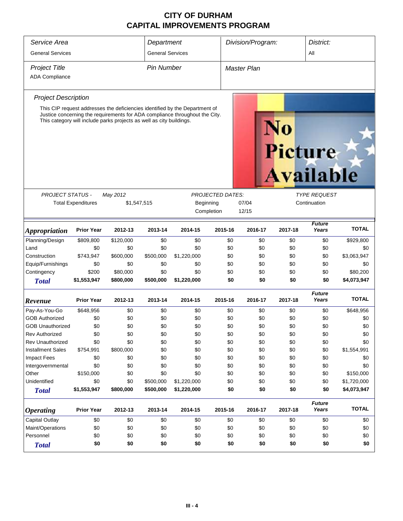| Service Area                | Department                |                                                                      |                         | Division/Program:                                                                                                                                          |                         | District:          |                      |                        |              |
|-----------------------------|---------------------------|----------------------------------------------------------------------|-------------------------|------------------------------------------------------------------------------------------------------------------------------------------------------------|-------------------------|--------------------|----------------------|------------------------|--------------|
| <b>General Services</b>     |                           |                                                                      | <b>General Services</b> |                                                                                                                                                            |                         |                    |                      |                        |              |
| <b>Project Title</b>        |                           |                                                                      | <b>Pin Number</b>       |                                                                                                                                                            |                         | <b>Master Plan</b> |                      |                        |              |
| <b>ADA Compliance</b>       |                           |                                                                      |                         |                                                                                                                                                            |                         |                    |                      |                        |              |
|                             |                           |                                                                      |                         |                                                                                                                                                            |                         |                    |                      |                        |              |
| <b>Project Description</b>  |                           |                                                                      |                         |                                                                                                                                                            |                         |                    |                      |                        |              |
|                             |                           | This category will include parks projects as well as city buildings. |                         | This CIP request addresses the deficiencies identified by the Department of<br>Justice concerning the requirements for ADA compliance throughout the City. |                         |                    |                      |                        |              |
|                             |                           |                                                                      |                         |                                                                                                                                                            |                         |                    |                      |                        |              |
|                             |                           |                                                                      |                         |                                                                                                                                                            |                         |                    |                      |                        |              |
|                             |                           |                                                                      |                         |                                                                                                                                                            |                         |                    | Picture<br>Available |                        |              |
|                             |                           |                                                                      |                         |                                                                                                                                                            |                         |                    |                      |                        |              |
|                             |                           |                                                                      |                         |                                                                                                                                                            |                         |                    |                      |                        |              |
|                             |                           |                                                                      |                         |                                                                                                                                                            |                         |                    |                      |                        |              |
| <b>PROJECT STATUS -</b>     |                           | May 2012                                                             |                         |                                                                                                                                                            | <b>PROJECTED DATES:</b> |                    |                      | <b>TYPE REQUEST</b>    |              |
|                             | <b>Total Expenditures</b> | \$1,547,515                                                          |                         | Beginning                                                                                                                                                  |                         | 07/04              |                      | Continuation           |              |
|                             |                           |                                                                      |                         |                                                                                                                                                            | Completion              | 12/15              |                      |                        |              |
| <i><b>Appropriation</b></i> | <b>Prior Year</b>         | 2012-13                                                              | 2013-14                 | 2014-15                                                                                                                                                    | 2015-16                 | 2016-17            | 2017-18              | <b>Future</b><br>Years | <b>TOTAL</b> |
| Planning/Design             | \$809,800                 | \$120,000                                                            | \$0                     | \$0                                                                                                                                                        | \$0                     | \$0                | \$0                  | \$0                    | \$929,800    |
| Land                        | \$0                       | \$0                                                                  | \$0                     | \$0                                                                                                                                                        | \$0                     | \$0                | \$0                  | \$0                    | \$0          |
| Construction                | \$743,947                 | \$600,000                                                            | \$500,000               | \$1,220,000                                                                                                                                                | \$0                     | \$0                | \$0                  | \$0                    | \$3,063,947  |
| Equip/Furnishings           | \$0                       | \$0                                                                  | \$0                     | \$0                                                                                                                                                        | \$0                     | \$0                | \$0                  | \$0                    | \$0          |
| Contingency                 | \$200                     | \$80,000                                                             | \$0                     | \$0                                                                                                                                                        | \$0                     | \$0                | \$0                  | \$0                    | \$80,200     |
| <b>Total</b>                | \$1,553,947               | \$800,000                                                            | \$500,000               | \$1,220,000                                                                                                                                                |                         | \$0<br>\$0         | \$0                  | \$0                    | \$4,073,947  |
| Revenue                     | <b>Prior Year</b>         | 2012-13                                                              | 2013-14                 | 2014-15                                                                                                                                                    | 2015-16                 | 2016-17            | 2017-18              | <b>Future</b><br>Years | <b>TOTAL</b> |
| Pay-As-You-Go               | \$648,956                 | \$0                                                                  | \$0                     | \$0                                                                                                                                                        | \$0                     | \$0                | \$0                  | \$0                    | \$648,956    |
| <b>GOB Authorized</b>       | \$0                       | \$0                                                                  | \$0                     | \$0                                                                                                                                                        | \$0                     | \$0                | \$0                  | \$0                    | \$0          |
| <b>GOB Unauthorized</b>     | \$0                       | \$0                                                                  | \$0                     | \$0                                                                                                                                                        | \$0                     | \$0                | \$0                  | \$0                    | \$0          |
| <b>Rev Authorized</b>       | \$0                       | \$0                                                                  | \$0                     | \$0                                                                                                                                                        | \$0                     | \$0                | \$0                  | \$0                    | \$0          |
| Rev Unauthorized            | \$0                       | \$0                                                                  | \$0                     | \$0                                                                                                                                                        | \$0                     | \$0                | \$0                  | \$0                    | \$0          |
| <b>Installment Sales</b>    | \$754,991                 | \$800,000                                                            | \$0                     | \$0                                                                                                                                                        | \$0                     | \$0                | \$0                  | \$0                    | \$1,554,991  |
| <b>Impact Fees</b>          | \$0                       | \$0                                                                  | \$0                     | \$0                                                                                                                                                        | \$0                     | \$0                | \$0                  | \$0                    | \$0          |
| Intergovernmental           | \$0                       | \$0                                                                  | \$0                     | \$0                                                                                                                                                        | \$0                     | \$0                | \$0                  | \$0                    | \$0          |
| Other                       | \$150,000                 | \$0                                                                  | \$0                     | \$0                                                                                                                                                        | \$0                     | \$0                | \$0                  | \$0                    | \$150,000    |
| Unidentified                | \$0                       | \$0                                                                  | \$500,000               | \$1,220,000                                                                                                                                                | \$0                     | \$0                | \$0                  | \$0                    | \$1,720,000  |
| <b>Total</b>                | \$1,553,947               | \$800,000                                                            | \$500,000               | \$1,220,000                                                                                                                                                | \$0                     | \$0                | \$0                  | \$0                    | \$4,073,947  |
| <b>Operating</b>            | <b>Prior Year</b>         | 2012-13                                                              | 2013-14                 | 2014-15                                                                                                                                                    | 2015-16                 | 2016-17            | 2017-18              | <b>Future</b><br>Years | <b>TOTAL</b> |
| Capital Outlay              | \$0                       | \$0                                                                  | \$0                     | \$0                                                                                                                                                        | \$0                     | \$0                | \$0                  | \$0                    | \$0          |
| Maint/Operations            | \$0                       | \$0                                                                  | \$0                     | \$0                                                                                                                                                        | \$0                     | \$0                | \$0                  | \$0                    | \$0          |
| Personnel                   | \$0                       | \$0                                                                  | \$0                     | \$0                                                                                                                                                        | \$0                     | \$0                | \$0                  | \$0                    | \$0          |
| <b>Total</b>                | \$0                       | \$0                                                                  | \$0                     | \$0                                                                                                                                                        | \$0                     | \$0                | \$0                  | \$0                    | \$0          |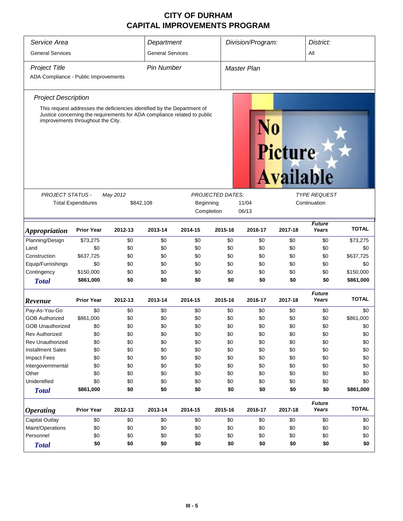| Service Area                         |                                                                                                               |           | Department              |           |                         | Division/Program:  |                                    | District:              |              |  |
|--------------------------------------|---------------------------------------------------------------------------------------------------------------|-----------|-------------------------|-----------|-------------------------|--------------------|------------------------------------|------------------------|--------------|--|
| <b>General Services</b>              |                                                                                                               |           | <b>General Services</b> |           |                         |                    |                                    | All                    |              |  |
| <b>Project Title</b>                 |                                                                                                               |           | <b>Pin Number</b>       |           |                         | <b>Master Plan</b> |                                    |                        |              |  |
| ADA Compliance - Public Improvements |                                                                                                               |           |                         |           |                         |                    |                                    |                        |              |  |
| <b>Project Description</b>           |                                                                                                               |           |                         |           |                         |                    |                                    |                        |              |  |
|                                      | This request addresses the deficiencies identified by the Department of                                       |           |                         |           |                         |                    |                                    |                        |              |  |
|                                      | Justice concerning the requirements for ADA compliance related to public<br>improvements throughout the City. |           |                         |           |                         |                    | <b>Picture</b><br><b>Available</b> |                        |              |  |
| <b>PROJECT STATUS -</b>              |                                                                                                               | May 2012  |                         |           | <b>PROJECTED DATES:</b> |                    |                                    | <b>TYPE REQUEST</b>    |              |  |
|                                      | <b>Total Expenditures</b>                                                                                     | \$842,108 |                         | Beginning | Continuation<br>11/04   |                    |                                    |                        |              |  |
|                                      |                                                                                                               |           |                         |           | Completion              | 06/13              |                                    |                        |              |  |
| <i><b>Appropriation</b></i>          | <b>Prior Year</b>                                                                                             | 2012-13   | 2013-14                 | 2014-15   | 2015-16                 | 2016-17            | 2017-18                            | <b>Future</b><br>Years | <b>TOTAL</b> |  |
| Planning/Design                      | \$73,275                                                                                                      | \$0       | \$0                     | \$0       | \$0                     | \$0                | \$0                                | \$0                    | \$73,275     |  |
| Land                                 | \$0                                                                                                           | \$0       | \$0                     | \$0       | \$0                     | \$0                | \$0                                | \$0                    | \$0          |  |
| Construction                         | \$637,725                                                                                                     | \$0       | \$0                     | \$0       | \$0                     | \$0                | \$0                                | \$0                    | \$637,725    |  |
| Equip/Furnishings                    | \$0                                                                                                           | \$0       | \$0                     | \$0       | \$0                     | \$0                | \$0                                | \$0                    | \$0          |  |
| Contingency                          | \$150,000                                                                                                     | \$0       | \$0                     | \$0       | \$0                     | \$0                | \$0                                | \$0                    | \$150,000    |  |
| <b>Total</b>                         | \$861,000                                                                                                     | \$0       | \$0                     | \$0       | \$0                     | \$0                | \$0                                | \$0                    | \$861,000    |  |
| Revenue                              | <b>Prior Year</b>                                                                                             | 2012-13   | 2013-14                 | 2014-15   | 2015-16                 | 2016-17            | 2017-18                            | <b>Future</b><br>Years | <b>TOTAL</b> |  |
| Pay-As-You-Go                        | \$0                                                                                                           | \$0       | \$0                     | \$0       | \$0                     | \$0                | \$0                                | \$0                    | \$0          |  |
| <b>GOB Authorized</b>                | \$861,000                                                                                                     | \$0       | \$0                     | \$0       | \$0                     | \$0                | \$0                                | \$0                    | \$861,000    |  |
| <b>GOB Unauthorized</b>              | \$0                                                                                                           | \$0       | \$0                     | \$0       | \$0                     | \$0                | \$0                                | \$0                    | \$0          |  |
| <b>Rev Authorized</b>                | \$0                                                                                                           | \$0       | \$0                     | \$0       | \$0                     | \$0                | \$0                                | \$0                    | \$0          |  |
| <b>Rev Unauthorized</b>              | \$0                                                                                                           | \$0       | \$0                     | \$0       | \$0                     | \$0                | \$0                                | \$0                    | \$0          |  |
| <b>Installment Sales</b>             | \$0                                                                                                           | \$0       | \$0                     | \$0       | \$0                     | \$0                | \$0                                | \$0                    | \$0          |  |
| <b>Impact Fees</b>                   | \$0                                                                                                           | \$0       | \$0                     | \$0       | \$0                     | \$0                | \$0                                | \$0                    | \$0          |  |
| Intergovernmental                    | \$0                                                                                                           | \$0       | \$0                     | \$0       | \$0                     | \$0                | \$0                                | \$0                    | \$0          |  |
| Other                                | \$0                                                                                                           | \$0       | \$0                     | \$0       | \$0                     | \$0                | \$0                                | \$0                    | \$0          |  |
| Unidentified                         | \$0                                                                                                           | \$0       | \$0                     | \$0       | \$0                     | \$0                | \$0                                | \$0                    | \$0          |  |
| <b>Total</b>                         | \$861,000                                                                                                     | \$0       | \$0                     | \$0       | \$0                     | \$0                | \$0                                | \$0                    | \$861,000    |  |
| <i><b>Operating</b></i>              | <b>Prior Year</b>                                                                                             | 2012-13   | 2013-14                 | 2014-15   | 2015-16                 | 2016-17            | 2017-18                            | <b>Future</b><br>Years | <b>TOTAL</b> |  |
| Capital Outlay                       | \$0                                                                                                           | \$0       | \$0                     | \$0       | \$0                     | \$0                | \$0                                | \$0                    | \$0          |  |
| Maint/Operations                     | \$0                                                                                                           | \$0       | \$0                     | \$0       | \$0                     | \$0                | \$0                                | \$0                    | \$0          |  |
| Personnel                            | \$0                                                                                                           | \$0       | \$0                     | \$0       | \$0                     | \$0                | \$0                                | \$0                    | \$0          |  |
| <b>Total</b>                         | \$0                                                                                                           | \$0       | \$0                     | \$0       | \$0                     | \$0                | \$0                                | \$0                    | \$0          |  |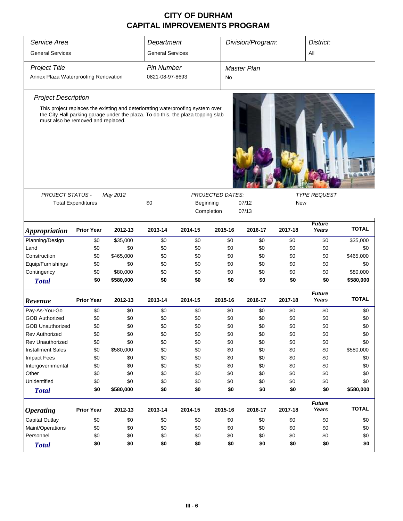| Service Area                         |                           | Department                       |                         |                                                                                  | Division/Program:       |             | District: |                        |              |  |
|--------------------------------------|---------------------------|----------------------------------|-------------------------|----------------------------------------------------------------------------------|-------------------------|-------------|-----------|------------------------|--------------|--|
| <b>General Services</b>              |                           |                                  | <b>General Services</b> |                                                                                  |                         |             |           | All                    |              |  |
| <b>Project Title</b>                 |                           |                                  | <b>Pin Number</b>       |                                                                                  |                         | Master Plan |           |                        |              |  |
| Annex Plaza Waterproofing Renovation |                           |                                  | 0821-08-97-8693         |                                                                                  | No                      |             |           |                        |              |  |
| <b>Project Description</b>           |                           |                                  |                         |                                                                                  |                         |             |           |                        |              |  |
|                                      |                           |                                  |                         | This project replaces the existing and deteriorating waterproofing system over   |                         |             |           |                        |              |  |
| must also be removed and replaced.   |                           |                                  |                         | the City Hall parking garage under the plaza. To do this, the plaza topping slab |                         |             |           |                        |              |  |
| <b>PROJECT STATUS -</b>              |                           | May 2012                         |                         |                                                                                  | <b>PROJECTED DATES:</b> |             |           | <b>TYPE REQUEST</b>    |              |  |
|                                      | <b>Total Expenditures</b> | \$0<br>Beginning<br>07/12<br>New |                         |                                                                                  |                         |             |           |                        |              |  |
|                                      |                           |                                  |                         | Completion                                                                       |                         | 07/13       |           |                        |              |  |
| <i><b>Appropriation</b></i>          | <b>Prior Year</b>         | 2012-13                          | 2013-14                 | 2014-15                                                                          | 2015-16                 | 2016-17     | 2017-18   | <b>Future</b><br>Years | <b>TOTAL</b> |  |
| Planning/Design                      | \$0                       | \$35,000                         | \$0                     | \$0                                                                              | \$0                     | \$0         | \$0       | \$0                    | \$35,000     |  |
| Land                                 | \$0                       | \$0                              | \$0                     | \$0                                                                              | \$0                     | \$0         | \$0       | \$0                    | \$0          |  |
| Construction                         | \$0                       | \$465,000                        | \$0                     | \$0                                                                              | \$0                     | \$0         | \$0       | \$0                    | \$465,000    |  |
| Equip/Furnishings                    | \$0                       | \$0                              | \$0                     | \$0                                                                              | \$0                     | \$0         | \$0       | \$0                    | \$0          |  |
| Contingency                          | \$0                       | \$80,000                         | \$0                     | \$0                                                                              | \$0                     | \$0         | \$0       | \$0                    | \$80,000     |  |
| <b>Total</b>                         | \$0                       | \$580,000                        | \$0                     | \$0                                                                              | \$0                     | \$0         | \$0       | \$0                    | \$580,000    |  |
| Revenue                              | <b>Prior Year</b>         | 2012-13                          | 2013-14                 | 2014-15                                                                          | 2015-16                 | 2016-17     | 2017-18   | <b>Future</b><br>Years | <b>TOTAL</b> |  |
| Pay-As-You-Go                        | \$0                       | \$0                              | \$0                     | \$0                                                                              | \$0                     | \$0         | \$0       | \$0                    | \$0          |  |
| <b>GOB Authorized</b>                | \$0                       | \$0                              | \$0                     | \$0                                                                              | \$0                     | \$0         | \$0       | \$0                    | \$0          |  |
| GOB Unauthorized                     | \$0                       | \$0                              | \$0                     | \$0                                                                              | \$0                     | \$0         | \$0       | \$0                    | \$0          |  |
| <b>Rev Authorized</b>                | \$0                       | \$0                              | \$0                     | \$0                                                                              | \$0                     | \$0         | \$0       | \$0                    | \$0          |  |
| <b>Rev Unauthorized</b>              | \$0                       | \$0                              | \$0                     | \$0                                                                              | \$0                     | \$0         | \$0       | \$0                    | \$0          |  |
| <b>Installment Sales</b>             | \$0                       | \$580,000                        | \$0                     | \$0                                                                              | \$0                     | \$0         | \$0       | \$0                    | \$580,000    |  |
| <b>Impact Fees</b>                   | \$0                       | \$0                              | \$0                     | \$0                                                                              | \$0                     | \$0         | \$0       | \$0                    | \$0          |  |
| Intergovernmental                    | \$0                       | \$0                              | \$0                     | \$0                                                                              | \$0                     | \$0         | \$0       | \$0                    | \$0          |  |
| Other                                | \$0                       | \$0                              | \$0                     | \$0                                                                              | \$0                     | \$0         | \$0       | \$0                    | \$0          |  |
| Unidentified                         | \$0                       | \$0                              | \$0                     | \$0                                                                              | \$0                     | \$0         | \$0       | \$0                    | \$0          |  |
| <b>Total</b>                         | \$0                       | \$580,000                        | \$0                     | \$0                                                                              | \$0                     | \$0         | \$0       | \$0                    | \$580,000    |  |
| <b>Operating</b>                     | <b>Prior Year</b>         | 2012-13                          | 2013-14                 | 2014-15                                                                          | 2015-16                 | 2016-17     | 2017-18   | <b>Future</b><br>Years | <b>TOTAL</b> |  |
| Capital Outlay                       | \$0                       | \$0                              | \$0                     | \$0                                                                              | \$0                     | \$0         | \$0       | \$0                    | \$0          |  |
| Maint/Operations                     | \$0                       | \$0                              | \$0                     | \$0                                                                              | \$0                     | \$0         | \$0       | \$0                    | \$0          |  |
| Personnel                            | \$0                       | \$0                              | \$0                     | \$0                                                                              | \$0                     | \$0         | \$0       | \$0                    | \$0          |  |
| <b>Total</b>                         | \$0                       | \$0                              | \$0                     | \$0                                                                              | \$0                     | \$0         | \$0       | \$0                    | \$0          |  |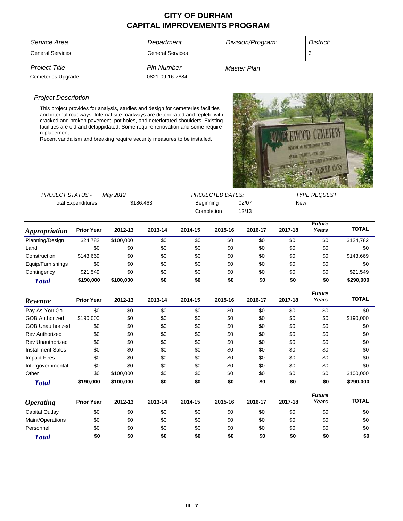| Service Area                                                                                                                                                                                                                                                                                                                                                                                                                                                                                                        |                   |           | Department              |            |                         | Division/Program:  |         | District:              |              |  |
|---------------------------------------------------------------------------------------------------------------------------------------------------------------------------------------------------------------------------------------------------------------------------------------------------------------------------------------------------------------------------------------------------------------------------------------------------------------------------------------------------------------------|-------------------|-----------|-------------------------|------------|-------------------------|--------------------|---------|------------------------|--------------|--|
| <b>General Services</b>                                                                                                                                                                                                                                                                                                                                                                                                                                                                                             |                   |           | <b>General Services</b> |            |                         |                    |         | 3                      |              |  |
| <b>Project Title</b>                                                                                                                                                                                                                                                                                                                                                                                                                                                                                                |                   |           | <b>Pin Number</b>       |            |                         | <b>Master Plan</b> |         |                        |              |  |
| <b>Cemeteries Upgrade</b>                                                                                                                                                                                                                                                                                                                                                                                                                                                                                           |                   |           | 0821-09-16-2884         |            |                         |                    |         |                        |              |  |
| <b>Project Description</b>                                                                                                                                                                                                                                                                                                                                                                                                                                                                                          |                   |           |                         |            |                         |                    |         |                        |              |  |
| This project provides for analysis, studies and design for cemeteries facilities<br>and internal roadways. Internal site roadways are deteriorated and replete with<br>cracked and broken pavement, pot holes, and deteriorated shoulders. Existing<br>facilities are old and delappidated. Some require renovation and some require<br>replacement.<br>Recent vandalism and breaking require security measures to be installed.<br><b>CAUSE OR DESTROYED PROPERTY</b><br><b>THE RESIDENCE I</b><br><b>SED CARS</b> |                   |           |                         |            |                         |                    |         |                        |              |  |
| <b>PROJECT STATUS -</b>                                                                                                                                                                                                                                                                                                                                                                                                                                                                                             |                   | May 2012  |                         |            | <b>PROJECTED DATES:</b> |                    |         | <b>TYPE REQUEST</b>    |              |  |
| <b>Total Expenditures</b><br>Beginning<br>02/07<br>\$186,463                                                                                                                                                                                                                                                                                                                                                                                                                                                        |                   |           |                         |            |                         | New                |         |                        |              |  |
|                                                                                                                                                                                                                                                                                                                                                                                                                                                                                                                     |                   |           |                         | Completion |                         | 12/13              |         |                        |              |  |
| <b>Appropriation</b>                                                                                                                                                                                                                                                                                                                                                                                                                                                                                                | <b>Prior Year</b> | 2012-13   | 2013-14                 | 2014-15    | 2015-16                 | 2016-17            | 2017-18 | <b>Future</b><br>Years | <b>TOTAL</b> |  |
| Planning/Design                                                                                                                                                                                                                                                                                                                                                                                                                                                                                                     | \$24,782          | \$100,000 | \$0                     | \$0        | \$0                     | \$0                | \$0     | \$0                    | \$124,782    |  |
| Land                                                                                                                                                                                                                                                                                                                                                                                                                                                                                                                | \$0               | \$0       | \$0                     | \$0        | \$0                     | \$0                | \$0     | \$0                    | \$0          |  |
| Construction                                                                                                                                                                                                                                                                                                                                                                                                                                                                                                        | \$143,669         | \$0       | \$0                     | \$0        | \$0                     | \$0                | \$0     | \$0                    | \$143,669    |  |
| Equip/Furnishings                                                                                                                                                                                                                                                                                                                                                                                                                                                                                                   | \$0               | \$0       | \$0                     | \$0        | \$0                     | \$0                | \$0     | \$0                    | \$0          |  |
| Contingency                                                                                                                                                                                                                                                                                                                                                                                                                                                                                                         | \$21,549          | \$0       | \$0                     | \$0        | \$0                     | \$0                | \$0     | \$0                    | \$21,549     |  |
| <b>Total</b>                                                                                                                                                                                                                                                                                                                                                                                                                                                                                                        | \$190,000         | \$100,000 | \$0                     | \$0        | \$0                     | \$0                | \$0     | \$0                    | \$290,000    |  |
| Revenue                                                                                                                                                                                                                                                                                                                                                                                                                                                                                                             | <b>Prior Year</b> | 2012-13   | 2013-14                 | 2014-15    | 2015-16                 | 2016-17            | 2017-18 | <b>Future</b><br>Years | <b>TOTAL</b> |  |
| Pay-As-You-Go                                                                                                                                                                                                                                                                                                                                                                                                                                                                                                       | \$0               | \$0       | \$0                     | \$0        | \$0                     | \$0                | \$0     | \$0                    | \$0          |  |
| <b>GOB Authorized</b>                                                                                                                                                                                                                                                                                                                                                                                                                                                                                               | \$190,000         | \$0       | \$0                     | \$0        | \$0                     | \$0                | \$0     | \$0                    | \$190,000    |  |
| <b>GOB Unauthorized</b>                                                                                                                                                                                                                                                                                                                                                                                                                                                                                             | \$0               | \$0       | \$0                     | \$0        | \$0                     | \$0                | \$0     | \$0                    | \$0          |  |
| <b>Rev Authorized</b>                                                                                                                                                                                                                                                                                                                                                                                                                                                                                               | \$0               | \$0       | \$0                     | \$0        | \$0                     | \$0                | \$0     | \$0                    | \$0          |  |
| Rev Unauthorized                                                                                                                                                                                                                                                                                                                                                                                                                                                                                                    | \$0               | \$0       | \$0                     | \$0        | \$0                     | \$0                | \$0     | \$0                    | \$0          |  |
| <b>Installment Sales</b>                                                                                                                                                                                                                                                                                                                                                                                                                                                                                            | \$0               | \$0       | \$0                     | \$0        | \$0                     | \$0                | \$0     | \$0                    | \$0          |  |
| <b>Impact Fees</b>                                                                                                                                                                                                                                                                                                                                                                                                                                                                                                  | \$0               | \$0       | \$0                     | \$0        | \$0                     | \$0                | \$0     | \$0                    | \$0          |  |
| Intergovernmental                                                                                                                                                                                                                                                                                                                                                                                                                                                                                                   | \$0               | \$0       | \$0                     | \$0        | \$0                     | \$0                | \$0     | \$0                    | \$0          |  |
| Other                                                                                                                                                                                                                                                                                                                                                                                                                                                                                                               | \$0               | \$100,000 | \$0                     | \$0        | \$0                     | \$0                | \$0     | \$0                    | \$100,000    |  |
| <b>Total</b>                                                                                                                                                                                                                                                                                                                                                                                                                                                                                                        | \$190,000         | \$100,000 | \$0                     | \$0        | \$0                     | \$0                | \$0     | \$0                    | \$290,000    |  |
| <b>Operating</b>                                                                                                                                                                                                                                                                                                                                                                                                                                                                                                    | <b>Prior Year</b> | 2012-13   | 2013-14                 | 2014-15    | 2015-16                 | 2016-17            | 2017-18 | <b>Future</b><br>Years | <b>TOTAL</b> |  |
| Capital Outlay                                                                                                                                                                                                                                                                                                                                                                                                                                                                                                      | \$0               | \$0       | \$0                     | \$0        | \$0                     | \$0                | \$0     | \$0                    | \$0          |  |
| Maint/Operations                                                                                                                                                                                                                                                                                                                                                                                                                                                                                                    | \$0               | \$0       | \$0                     | \$0        | \$0                     | \$0                | \$0     | \$0                    | \$0          |  |
| Personnel                                                                                                                                                                                                                                                                                                                                                                                                                                                                                                           | \$0               | \$0       | \$0                     | \$0        | \$0                     | \$0                | \$0     | \$0                    | \$0          |  |
| <b>Total</b>                                                                                                                                                                                                                                                                                                                                                                                                                                                                                                        | \$0               | \$0       | \$0                     | \$0        | \$0                     | \$0                | \$0     | \$0                    | \$0          |  |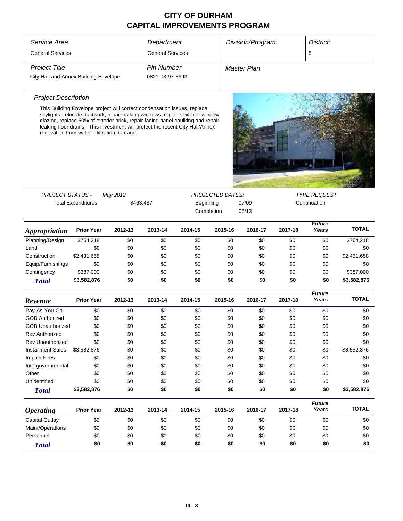| Service Area                          |                                                                                                                                                                                                                                                                                                                                                                             |           | Department              |            |         | Division/Program:                              |         | District:              |              |  |
|---------------------------------------|-----------------------------------------------------------------------------------------------------------------------------------------------------------------------------------------------------------------------------------------------------------------------------------------------------------------------------------------------------------------------------|-----------|-------------------------|------------|---------|------------------------------------------------|---------|------------------------|--------------|--|
| <b>General Services</b>               |                                                                                                                                                                                                                                                                                                                                                                             |           | <b>General Services</b> |            |         |                                                | 5       |                        |              |  |
| <b>Project Title</b>                  |                                                                                                                                                                                                                                                                                                                                                                             |           | <b>Pin Number</b>       |            |         | <b>Master Plan</b>                             |         |                        |              |  |
| City Hall and Annex Building Envelope |                                                                                                                                                                                                                                                                                                                                                                             |           | 0821-08-97-8693         |            |         |                                                |         |                        |              |  |
| <b>Project Description</b>            |                                                                                                                                                                                                                                                                                                                                                                             |           |                         |            |         |                                                |         |                        |              |  |
|                                       | This Building Envelope project will correct condensation issues, replace<br>skylights, relocate ductwork, repair leaking windows, replace exterior window<br>glazing, replace 50% of exterior brick, repair facing panel caulking and repair<br>leaking floor drains. This investment will protect the recent City Hall/Annex<br>renovation from water infiltration damage. |           |                         |            |         |                                                |         |                        |              |  |
|                                       |                                                                                                                                                                                                                                                                                                                                                                             |           |                         |            |         |                                                |         |                        |              |  |
| <b>PROJECT STATUS -</b>               |                                                                                                                                                                                                                                                                                                                                                                             | May 2012  |                         |            |         | <b>PROJECTED DATES:</b><br><b>TYPE REQUEST</b> |         |                        |              |  |
|                                       | <b>Total Expenditures</b>                                                                                                                                                                                                                                                                                                                                                   | \$463,487 |                         | Beginning  |         | 07/09<br>Continuation                          |         |                        |              |  |
|                                       |                                                                                                                                                                                                                                                                                                                                                                             |           |                         | Completion |         | 06/13                                          |         |                        |              |  |
| <i><b>Appropriation</b></i>           | <b>Prior Year</b>                                                                                                                                                                                                                                                                                                                                                           | 2012-13   | 2013-14                 | 2014-15    | 2015-16 | 2016-17                                        | 2017-18 | <b>Future</b><br>Years | <b>TOTAL</b> |  |
| Planning/Design                       | \$764,218                                                                                                                                                                                                                                                                                                                                                                   | \$0       | \$0                     | \$0        | \$0     | \$0                                            | \$0     | \$0                    | \$764,218    |  |
| Land                                  | \$0                                                                                                                                                                                                                                                                                                                                                                         | \$0       | \$0                     | \$0        | \$0     | \$0                                            | \$0     | \$0                    | \$0          |  |
| Construction                          | \$2,431,658                                                                                                                                                                                                                                                                                                                                                                 | \$0       | \$0                     | \$0        | \$0     | \$0                                            | \$0     | \$0                    | \$2,431,658  |  |
| Equip/Furnishings                     | \$0                                                                                                                                                                                                                                                                                                                                                                         | \$0       | \$0                     | \$0        | \$0     | \$0                                            | \$0     | \$0                    | \$0          |  |
| Contingency                           | \$387,000                                                                                                                                                                                                                                                                                                                                                                   | \$0       | \$0                     | \$0        | \$0     | \$0                                            | \$0     | \$0                    | \$387,000    |  |
| <b>Total</b>                          | \$3,582,876                                                                                                                                                                                                                                                                                                                                                                 | \$0       | \$0                     | \$0        | \$0     | \$0                                            | \$0     | \$0                    | \$3,582,876  |  |
| Revenue                               | <b>Prior Year</b>                                                                                                                                                                                                                                                                                                                                                           | 2012-13   | 2013-14                 | 2014-15    | 2015-16 | 2016-17                                        | 2017-18 | <b>Future</b><br>Years | <b>TOTAL</b> |  |
| Pay-As-You-Go                         | \$0                                                                                                                                                                                                                                                                                                                                                                         | \$0       | \$0                     | \$0        | \$0     | \$0                                            | \$0     | \$0                    | \$0          |  |
| <b>GOB Authorized</b>                 | \$0                                                                                                                                                                                                                                                                                                                                                                         | \$0       | \$0                     | \$0        | \$0     | \$0                                            | \$0     | \$0                    | \$0          |  |
| <b>GOB Unauthorized</b>               | \$0                                                                                                                                                                                                                                                                                                                                                                         | \$0       | \$0                     | \$0        | \$0     | \$0                                            | \$0     | \$0                    | \$0          |  |
| <b>Rev Authorized</b>                 | \$0                                                                                                                                                                                                                                                                                                                                                                         | \$0       | \$0                     | \$0        | \$0     | \$0                                            | \$0     | \$0                    | \$0          |  |
| <b>Rev Unauthorized</b>               | \$0                                                                                                                                                                                                                                                                                                                                                                         | \$0       | \$0                     | \$0        | \$0     | \$0                                            | \$0     | \$0                    | \$0          |  |
| <b>Installment Sales</b>              | \$3,582,876                                                                                                                                                                                                                                                                                                                                                                 | \$0       | \$0                     | \$0        | \$0     | \$0                                            | \$0     | \$0                    | \$3,582,876  |  |
| <b>Impact Fees</b>                    | \$0                                                                                                                                                                                                                                                                                                                                                                         | \$0       | \$0                     | \$0        | \$0     | \$0                                            | \$0     | \$0                    | \$0          |  |
| Intergovernmental                     | \$0                                                                                                                                                                                                                                                                                                                                                                         | \$0       | \$0                     | \$0        | \$0     | \$0                                            | \$0     | \$0                    | \$0          |  |
| Other                                 | \$0                                                                                                                                                                                                                                                                                                                                                                         | \$0       | \$0                     | \$0        | \$0     | \$0                                            | \$0     | \$0                    | \$0          |  |
| Unidentified                          | \$0                                                                                                                                                                                                                                                                                                                                                                         | \$0       | \$0                     | \$0        | \$0     | \$0                                            | \$0     | \$0                    | \$0          |  |
| <b>Total</b>                          | \$3,582,876                                                                                                                                                                                                                                                                                                                                                                 | \$0       | \$0                     | \$0        | \$0     | \$0                                            | \$0     | \$0                    | \$3,582,876  |  |
| <b>Operating</b>                      | <b>Prior Year</b>                                                                                                                                                                                                                                                                                                                                                           | 2012-13   | 2013-14                 | 2014-15    | 2015-16 | 2016-17                                        | 2017-18 | <b>Future</b><br>Years | <b>TOTAL</b> |  |
| Capital Outlay                        | \$0                                                                                                                                                                                                                                                                                                                                                                         | \$0       | \$0                     | \$0        | \$0     | \$0                                            | \$0     | \$0                    | \$0          |  |
| Maint/Operations                      | \$0                                                                                                                                                                                                                                                                                                                                                                         | \$0       | \$0                     | \$0        | \$0     | \$0                                            | \$0     | \$0                    | \$0          |  |
| Personnel                             | \$0                                                                                                                                                                                                                                                                                                                                                                         | \$0       | \$0                     | \$0        | \$0     | \$0                                            | \$0     | \$0                    | \$0          |  |
| <b>Total</b>                          | \$0                                                                                                                                                                                                                                                                                                                                                                         | \$0       | \$0                     | \$0        | \$0     | \$0                                            | \$0     | \$0                    | \$0          |  |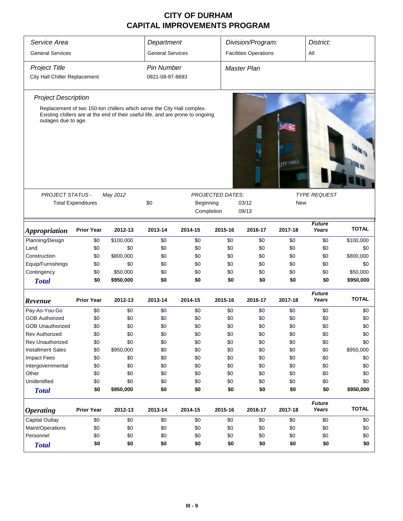| Service Area                  |                           |                                                                        | Department              |                                                                                 |                  | Division/Program:            |                 | District:              |              |  |
|-------------------------------|---------------------------|------------------------------------------------------------------------|-------------------------|---------------------------------------------------------------------------------|------------------|------------------------------|-----------------|------------------------|--------------|--|
| <b>General Services</b>       |                           |                                                                        | <b>General Services</b> |                                                                                 |                  | <b>Facilities Operations</b> |                 | All                    |              |  |
| <b>Project Title</b>          |                           |                                                                        | <b>Pin Number</b>       |                                                                                 |                  | <b>Master Plan</b>           |                 |                        |              |  |
| City Hall Chiller Replacement |                           |                                                                        | 0821-08-97-8693         |                                                                                 |                  |                              |                 |                        |              |  |
| <b>Project Description</b>    |                           |                                                                        |                         |                                                                                 |                  |                              |                 |                        |              |  |
| outages due to age.           |                           | Replacement of two 150-ton chillers which serve the City Hall complex. |                         | Existing chillers are at the end of their useful life, and are prone to ongoing |                  |                              | <b>TTY HALL</b> |                        |              |  |
|                               |                           |                                                                        |                         |                                                                                 |                  |                              |                 |                        |              |  |
| <b>PROJECT STATUS -</b>       | <b>Total Expenditures</b> | May 2012                                                               | \$0                     | Beginning<br>Completion                                                         | PROJECTED DATES: | 03/12<br>09/13               | New             | <b>TYPE REQUEST</b>    |              |  |
| <b>Appropriation</b>          | <b>Prior Year</b>         | 2012-13                                                                | 2013-14                 | 2014-15                                                                         | 2015-16          | 2016-17                      | 2017-18         | <b>Future</b><br>Years | <b>TOTAL</b> |  |
| Planning/Design               | \$0                       | \$100,000                                                              | \$0                     | \$0                                                                             | \$0              | \$0                          | \$0             | \$0                    | \$100,000    |  |
| Land                          | \$0                       | \$0                                                                    | \$0                     | \$0                                                                             | \$0              | \$0                          | \$0             | \$0                    | \$0          |  |
| Construction                  | \$0                       | \$800,000                                                              | \$0                     | \$0                                                                             | \$0              | \$0                          | \$0             | \$0                    | \$800,000    |  |
|                               | \$0                       | \$0                                                                    | \$0                     | \$0                                                                             | \$0              | \$0                          | \$0             | \$0                    | \$0          |  |
| Equip/Furnishings             | \$0                       | \$50,000                                                               | \$0                     | \$0                                                                             | \$0              | \$0                          | \$0             | \$0                    | \$50,000     |  |
| Contingency<br><b>Total</b>   | \$0                       | \$950,000                                                              | \$0                     | \$0                                                                             | \$0              | \$0                          | \$0             | \$0                    | \$950,000    |  |
| Revenue                       | <b>Prior Year</b>         | 2012-13                                                                | 2013-14                 | 2014-15                                                                         | 2015-16          | 2016-17                      | 2017-18         | <b>Future</b><br>Years | <b>TOTAL</b> |  |
| Pay-As-You-Go                 | \$0                       | \$0                                                                    | \$0                     | \$0                                                                             | \$0              | \$0                          | \$0             | \$0                    | \$0          |  |
| <b>GOB Authorized</b>         | \$0                       | \$0                                                                    | \$0                     | \$0                                                                             | \$0              | \$0                          | \$0             | \$0                    | \$0          |  |
| <b>GOB Unauthorized</b>       | \$0                       | \$0                                                                    | \$0                     | \$0                                                                             | \$0              | \$0                          | \$0             | \$0                    | \$0          |  |
| <b>Rev Authorized</b>         | \$0                       | \$0                                                                    | \$0                     | \$0                                                                             | \$0              | \$0                          | \$0             | \$0                    | \$0          |  |
| Rev Unauthorized              | \$0                       | \$0                                                                    | \$0                     | \$0                                                                             | \$0              | \$0                          | \$0             | \$0                    | \$0          |  |
| <b>Installment Sales</b>      | \$0                       | \$950,000                                                              | \$0                     | \$0                                                                             | \$0              | \$0                          | \$0             | \$0                    | \$950,000    |  |
| Impact Fees                   | \$0                       | \$0                                                                    | \$0                     | \$0                                                                             | \$0              | \$0                          | \$0             | \$0                    | \$0          |  |
| Intergovernmental             | \$0                       | \$0                                                                    | \$0                     | \$0                                                                             | \$0              | \$0                          | \$0             | \$0                    | \$0          |  |
| Other                         | \$0                       | \$0                                                                    | \$0                     | \$0                                                                             | \$0              | \$0                          | \$0             | \$0                    | \$0          |  |
| Unidentified                  | \$0                       | \$0                                                                    | \$0                     | \$0                                                                             | \$0              | \$0                          | \$0             | \$0                    | \$0          |  |
| <b>Total</b>                  | \$0                       | \$950,000                                                              | \$0                     | \$0                                                                             | \$0              | \$0                          | \$0             | \$0                    | \$950,000    |  |
| <i><b>Operating</b></i>       | <b>Prior Year</b>         | 2012-13                                                                | 2013-14                 | 2014-15                                                                         | 2015-16          | 2016-17                      | 2017-18         | <b>Future</b><br>Years | <b>TOTAL</b> |  |
| Capital Outlay                | \$0                       | \$0                                                                    | \$0                     | \$0                                                                             | \$0              | \$0                          | \$0             | \$0                    | \$0          |  |
| Maint/Operations              | \$0                       | \$0                                                                    | \$0                     | \$0                                                                             | \$0              | \$0                          | \$0             | \$0                    | \$0          |  |
| Personnel                     | \$0                       | \$0                                                                    | \$0                     | \$0                                                                             | \$0              | \$0                          | \$0             | \$0                    | \$0          |  |
| <b>Total</b>                  | \$0                       | \$0                                                                    | \$0                     | \$0                                                                             | \$0              | \$0                          | \$0             | \$0                    | \$0          |  |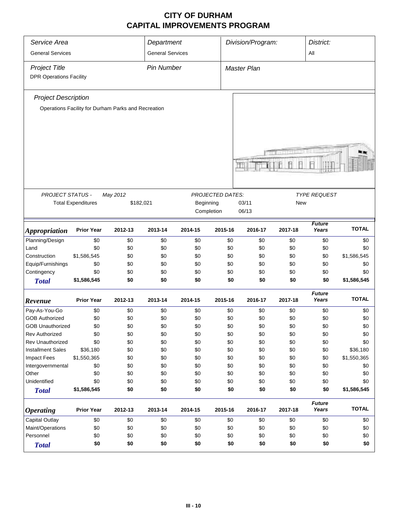| Service Area<br>Division/Program:<br>District:<br>Department |                                                     |          |                         |                                                |            |              |         |                        |              |
|--------------------------------------------------------------|-----------------------------------------------------|----------|-------------------------|------------------------------------------------|------------|--------------|---------|------------------------|--------------|
| <b>General Services</b>                                      |                                                     |          | <b>General Services</b> |                                                |            |              |         | All                    |              |
| <b>Project Title</b><br><b>DPR Operations Facility</b>       |                                                     |          | <b>Pin Number</b>       |                                                |            | Master Plan  |         |                        |              |
| <b>Project Description</b>                                   |                                                     |          |                         |                                                |            |              |         |                        |              |
|                                                              | Operations Facility for Durham Parks and Recreation |          |                         |                                                |            |              |         |                        |              |
|                                                              |                                                     |          |                         |                                                |            |              |         |                        |              |
|                                                              |                                                     |          |                         |                                                |            |              |         |                        |              |
|                                                              |                                                     |          |                         |                                                |            |              |         |                        |              |
|                                                              |                                                     |          |                         |                                                |            |              |         |                        |              |
| PROJECT STATUS -                                             |                                                     | May 2012 |                         | <b>PROJECTED DATES:</b><br><b>TYPE REQUEST</b> |            |              |         |                        |              |
|                                                              | <b>Total Expenditures</b>                           |          | \$182,021               | Beginning                                      |            | 03/11<br>New |         |                        |              |
|                                                              |                                                     |          |                         |                                                | Completion | 06/13        |         |                        |              |
| <i><b>Appropriation</b></i>                                  | <b>Prior Year</b>                                   | 2012-13  | 2013-14                 | 2014-15                                        | 2015-16    | 2016-17      | 2017-18 | <b>Future</b><br>Years | <b>TOTAL</b> |
| Planning/Design                                              | \$0                                                 | \$0      | \$0                     | \$0                                            | \$0        | \$0          | \$0     | \$0                    | \$0          |
| Land                                                         | \$0                                                 | \$0      | \$0                     | \$0                                            | \$0        | \$0          | \$0     | \$0                    | \$0          |
| Construction                                                 | \$1,586,545                                         | \$0      | \$0                     | \$0                                            | \$0        | \$0          | \$0     | \$0                    | \$1,586,545  |
| Equip/Furnishings                                            | \$0                                                 | \$0      | \$0                     | \$0                                            | \$0        | \$0          | \$0     | \$0                    | \$0          |
| Contingency                                                  | \$0                                                 | \$0      | \$0                     | \$0                                            | \$0        | \$0          | \$0     | \$0                    | \$0          |
| <b>Total</b>                                                 | \$1,586,545                                         | \$0      | \$0                     | \$0                                            | \$0        | \$0          | \$0     | \$0                    | \$1,586,545  |
| Revenue                                                      | <b>Prior Year</b>                                   | 2012-13  | 2013-14                 | 2014-15                                        | 2015-16    | 2016-17      | 2017-18 | <b>Future</b><br>Years | <b>TOTAL</b> |
| Pay-As-You-Go                                                | \$0                                                 | \$0      | \$0                     | \$0                                            | \$0        | \$0          | \$0     | \$0                    | \$0          |
| <b>GOB Authorized</b>                                        | \$0                                                 | \$0      | \$0                     | \$0                                            | \$0        | \$0          | \$0     | \$0                    | \$0          |
| <b>GOB Unauthorized</b>                                      | \$0                                                 | \$0      | \$0                     | \$0                                            | \$0        | \$0          | \$0     | \$0                    | \$0          |
| <b>Rev Authorized</b>                                        | \$0                                                 | \$0      | \$0                     | \$0                                            | \$0        | \$0          | \$0     | \$0                    | \$0          |
| Rev Unauthorized                                             | \$0                                                 | \$0      | \$0                     | \$0                                            | \$0        | \$0          | \$0     | \$0                    | \$0          |
| <b>Installment Sales</b>                                     | \$36,180                                            | \$0      | \$0                     | \$0                                            | \$0        | \$0          | \$0     | \$0                    | \$36,180     |
| <b>Impact Fees</b>                                           | \$1,550,365                                         | \$0      | \$0                     | \$0                                            | \$0        | \$0          | \$0     | \$0                    | \$1,550,365  |
| Intergovernmental                                            | \$0                                                 | \$0      | \$0                     | \$0                                            | \$0        | \$0          | \$0     | \$0                    | \$0          |
| Other                                                        | \$0                                                 | \$0      | \$0                     | \$0                                            | \$0        | \$0          | \$0     | \$0                    | \$0          |
| Unidentified                                                 | \$0                                                 | \$0      | \$0                     | \$0                                            | \$0        | \$0          | \$0     | \$0                    | \$0          |
| <b>Total</b>                                                 | \$1,586,545                                         | \$0      | \$0                     | \$0                                            | \$0        | \$0          | \$0     | \$0                    | \$1,586,545  |
| <b>Operating</b>                                             | <b>Prior Year</b>                                   | 2012-13  | 2013-14                 | 2014-15                                        | 2015-16    | 2016-17      | 2017-18 | <b>Future</b><br>Years | <b>TOTAL</b> |
| <b>Capital Outlay</b>                                        | \$0                                                 | \$0      | \$0                     | \$0                                            | \$0        | \$0          | \$0     | \$0                    | \$0          |
| Maint/Operations                                             | \$0                                                 | \$0      | \$0                     | \$0                                            | \$0        | \$0          | \$0     | \$0                    | \$0          |
| Personnel                                                    | \$0                                                 | \$0      | \$0                     | \$0                                            | \$0        | \$0          | \$0     | \$0                    | \$0          |
| <b>Total</b>                                                 | \$0                                                 | \$0      | \$0                     | \$0                                            | \$0        | \$0          | \$0     | \$0                    | \$0          |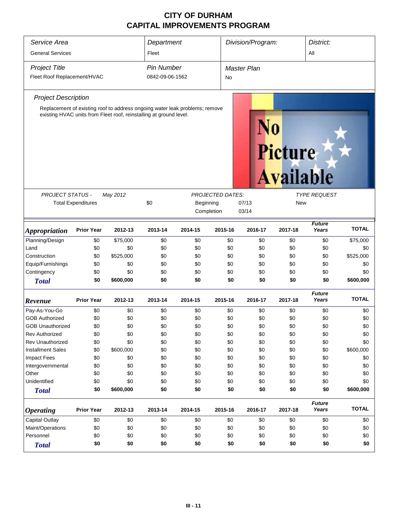| Service Area<br><b>General Services</b> | Department<br>Fleet       |                                                                                                                                                   |                                                                             | Division/Program: |         | District:<br>All |                                   |                        |              |  |
|-----------------------------------------|---------------------------|---------------------------------------------------------------------------------------------------------------------------------------------------|-----------------------------------------------------------------------------|-------------------|---------|------------------|-----------------------------------|------------------------|--------------|--|
| <b>Project Title</b>                    |                           |                                                                                                                                                   | <b>Pin Number</b>                                                           |                   |         | Master Plan      |                                   |                        |              |  |
| Fleet Roof Replacement/HVAC             |                           |                                                                                                                                                   | 0842-09-06-1562                                                             |                   | No      |                  |                                   |                        |              |  |
| <b>Project Description</b>              |                           |                                                                                                                                                   |                                                                             |                   |         |                  |                                   |                        |              |  |
|                                         |                           | Replacement of existing roof to address ongoing water leak problems; remove<br>existing HVAC units from Fleet roof, reinstalling at ground level. |                                                                             |                   |         |                  | Picture<br><b>Available</b>       |                        |              |  |
| <b>PROJECT STATUS -</b>                 | <b>Total Expenditures</b> | May 2012                                                                                                                                          | <b>PROJECTED DATES:</b><br>\$0<br>Beginning<br>07/13<br>Completion<br>03/14 |                   |         |                  | <b>TYPE REQUEST</b><br><b>New</b> |                        |              |  |
| <b>Appropriation</b>                    | <b>Prior Year</b>         | 2012-13                                                                                                                                           | 2013-14                                                                     | 2014-15           | 2015-16 | 2016-17          | 2017-18                           | <b>Future</b><br>Years | <b>TOTAL</b> |  |
| Planning/Design                         | \$0                       | \$75,000                                                                                                                                          | \$0                                                                         | \$0               | \$0     | \$0              | \$0                               | \$0                    | \$75,000     |  |
| Land                                    | \$0                       | \$0                                                                                                                                               | \$0                                                                         | \$0               | \$0     | \$0              | \$0                               | \$0                    | \$0          |  |
| Construction                            | \$0                       | \$525,000                                                                                                                                         | \$0                                                                         | \$0               | \$0     | \$0              | \$0                               | \$0                    | \$525,000    |  |
| Equip/Furnishings                       | \$0                       | \$0                                                                                                                                               | \$0                                                                         | \$0               | \$0     | \$0              | \$0                               | \$0                    | \$0          |  |
| Contingency                             | \$0                       | \$0                                                                                                                                               | \$0                                                                         | \$0               | \$0     | \$0              | \$0                               | \$0                    | \$0          |  |
| <b>Total</b>                            | \$0                       | \$600,000                                                                                                                                         | \$0                                                                         | \$0               | \$0     | \$0              | \$0                               | \$0                    | \$600,000    |  |
| Revenue                                 | <b>Prior Year</b>         | 2012-13                                                                                                                                           | 2013-14                                                                     | 2014-15           | 2015-16 | 2016-17          | 2017-18                           | <b>Future</b><br>Years | <b>TOTAL</b> |  |
| Pay-As-You-Go                           | \$0                       | \$0                                                                                                                                               | \$0                                                                         | \$0               | \$0     | \$0              | \$0                               | \$0                    | \$0          |  |
| <b>GOB Authorized</b>                   | \$0                       | \$0                                                                                                                                               | \$0                                                                         | \$0               | \$0     | \$0              | \$0                               | \$0                    | \$0          |  |
| <b>GOB Unauthorized</b>                 | \$0                       | \$0                                                                                                                                               | \$0                                                                         | \$0               | \$0     | \$0              | \$0                               | \$0                    | \$0          |  |
| <b>Rev Authorized</b>                   | \$0                       | \$0                                                                                                                                               | \$0                                                                         | \$0               | \$0     | \$0              | \$0                               | \$0                    | \$0          |  |
| <b>Rev Unauthorized</b>                 | \$0                       | \$0                                                                                                                                               | \$0                                                                         | \$0               | \$0     | \$0              | \$0                               | \$0                    | \$0          |  |
| <b>Installment Sales</b>                | \$0                       | \$600,000                                                                                                                                         | \$0                                                                         | \$0               | \$0     | \$0              | \$0                               | \$0                    | \$600,000    |  |
| <b>Impact Fees</b>                      | \$0                       | \$0                                                                                                                                               | \$0                                                                         | \$0               | \$0     | \$0              | \$0                               | \$0                    | \$0          |  |
| Intergovernmental                       | \$0                       | \$0                                                                                                                                               | \$0                                                                         | \$0               | \$0     | \$0              | \$0                               | \$0                    | \$0          |  |
| Other                                   | \$0                       | \$0                                                                                                                                               | \$0                                                                         | \$0               | \$0     | \$0              | \$0                               | \$0                    | \$0          |  |
| Unidentified                            | \$0                       | \$0                                                                                                                                               | \$0                                                                         | \$0               | \$0     | \$0              | \$0                               | \$0                    | \$0          |  |
| <b>Total</b>                            | \$0                       | \$600,000                                                                                                                                         | \$0                                                                         | \$0               | \$0     | \$0              | \$0                               | \$0                    | \$600,000    |  |
| <b>Operating</b>                        | <b>Prior Year</b>         | 2012-13                                                                                                                                           | 2013-14                                                                     | 2014-15           | 2015-16 | 2016-17          | 2017-18                           | <b>Future</b><br>Years | <b>TOTAL</b> |  |
| Capital Outlay                          | \$0                       | \$0                                                                                                                                               | \$0                                                                         | \$0               | \$0     | \$0              | \$0                               | \$0                    | \$0          |  |
| Maint/Operations                        | \$0                       | \$0                                                                                                                                               | \$0                                                                         | \$0               | \$0     | \$0              | \$0                               | \$0                    | \$0          |  |
| Personnel                               | \$0                       | \$0                                                                                                                                               | \$0                                                                         | \$0               | \$0     | \$0              | \$0                               | \$0                    | \$0          |  |
| <b>Total</b>                            | \$0                       | \$0                                                                                                                                               | \$0                                                                         | \$0               | \$0     | \$0              | \$0                               | \$0                    | \$0          |  |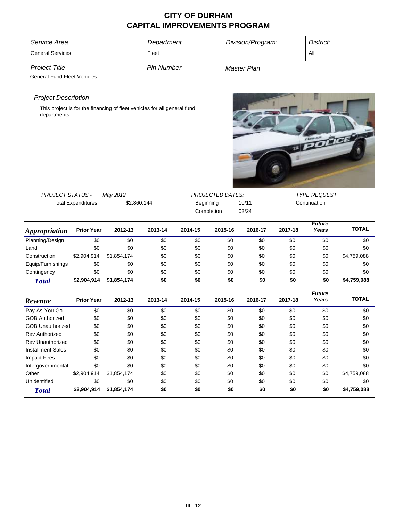| Service Area<br><b>General Services</b>                    |                   |                                                                          | Department<br>Fleet     |           |            | Division/Program:     |            |                        |              |  |
|------------------------------------------------------------|-------------------|--------------------------------------------------------------------------|-------------------------|-----------|------------|-----------------------|------------|------------------------|--------------|--|
| <b>Project Title</b><br><b>General Fund Fleet Vehicles</b> |                   |                                                                          | <b>Pin Number</b>       |           |            | <b>Master Plan</b>    | All        |                        |              |  |
| <b>Project Description</b><br>departments.                 |                   | This project is for the financing of fleet vehicles for all general fund |                         |           |            |                       |            | <b>WEIGHTER</b>        |              |  |
| PROJECT STATUS -                                           |                   |                                                                          | <b>PROJECTED DATES:</b> |           |            | <b>TYPE REQUEST</b>   |            |                        |              |  |
| May 2012<br><b>Total Expenditures</b><br>\$2,860,144       |                   |                                                                          |                         | Beginning |            | 10/11<br>Continuation |            |                        |              |  |
|                                                            |                   |                                                                          |                         |           | Completion | 03/24                 |            |                        |              |  |
|                                                            |                   |                                                                          |                         |           |            |                       |            |                        |              |  |
|                                                            |                   |                                                                          |                         |           |            |                       |            |                        |              |  |
| <b>Appropriation</b>                                       | <b>Prior Year</b> | 2012-13                                                                  | 2013-14                 | 2014-15   | 2015-16    | 2016-17               | 2017-18    | <b>Future</b><br>Years | <b>TOTAL</b> |  |
| Planning/Design                                            | \$0               | \$0                                                                      | \$0                     | \$0       | \$0        | \$0                   | \$0        | \$0                    | \$0          |  |
| Land                                                       | \$0               | \$0                                                                      | \$0                     | \$0       | \$0        | \$0                   | \$0        | \$0                    | \$0          |  |
| Construction                                               | \$2,904,914       | \$1,854,174                                                              | \$0                     | \$0       | \$0        | \$0                   | \$0        | \$0                    | \$4,759,088  |  |
| Equip/Furnishings                                          | \$0               | \$0                                                                      | \$0                     | \$0       | \$0        | \$0                   | \$0        | \$0                    | \$0          |  |
| Contingency                                                | \$0               | \$0                                                                      | \$0                     | \$0       | \$0        | \$0                   | \$0        | \$0                    | \$0          |  |
| <b>Total</b>                                               | \$2,904,914       | \$1,854,174                                                              | \$0                     | \$0       | \$0        | \$0                   | \$0        | \$0                    | \$4,759,088  |  |
| Revenue                                                    | <b>Prior Year</b> | 2012-13                                                                  | 2013-14                 | 2014-15   | 2015-16    | 2016-17               | 2017-18    | <b>Future</b><br>Years | <b>TOTAL</b> |  |
| Pay-As-You-Go                                              | \$0               | \$0                                                                      | \$0                     | \$0       | \$0        | \$0                   | \$0        | \$0                    | \$0          |  |
| <b>GOB Authorized</b>                                      | \$0               | \$0                                                                      | \$0                     | \$0       | \$0        | \$0                   | \$0        | \$0                    | \$0          |  |
|                                                            |                   | \$0                                                                      |                         | \$0       |            |                       |            | \$0                    | \$0          |  |
| <b>GOB Unauthorized</b><br><b>Rev Authorized</b>           | \$0<br>\$0        | \$0                                                                      | \$0<br>\$0              | \$0       | \$0<br>\$0 | \$0<br>\$0            | \$0<br>\$0 | \$0                    | \$0          |  |
| Rev Unauthorized                                           | \$0               | \$0                                                                      | \$0                     | \$0       |            | \$0                   | \$0        | \$0                    | \$0          |  |
| <b>Installment Sales</b>                                   | \$0               | \$0                                                                      | \$0                     | \$0       | \$0<br>\$0 | \$0                   | \$0        | \$0                    | \$0          |  |
| <b>Impact Fees</b>                                         | \$0               | \$0                                                                      | \$0                     | \$0       | \$0        | \$0                   | \$0        | \$0                    | \$0          |  |
| Intergovernmental                                          | \$0               | \$0                                                                      | \$0                     | \$0       | \$0        | \$0                   | \$0        | \$0                    | \$0          |  |
| Other                                                      | \$2,904,914       | \$1,854,174                                                              | \$0                     | \$0       | \$0        | \$0                   | \$0        | \$0                    | \$4,759,088  |  |
| Unidentified                                               | \$0               | \$0                                                                      | \$0                     | \$0       | \$0        | \$0                   | \$0        | \$0                    | \$0          |  |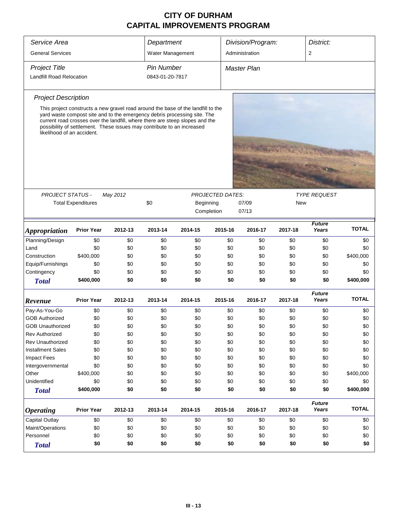| Service Area                    |                                                                                                                                                                                                                                    |          | Department        |           |                         | Division/Program:  |            | District:              |              |  |
|---------------------------------|------------------------------------------------------------------------------------------------------------------------------------------------------------------------------------------------------------------------------------|----------|-------------------|-----------|-------------------------|--------------------|------------|------------------------|--------------|--|
| <b>General Services</b>         |                                                                                                                                                                                                                                    |          | Water Management  |           |                         | Administration     |            | 2                      |              |  |
| <b>Project Title</b>            |                                                                                                                                                                                                                                    |          | <b>Pin Number</b> |           |                         | <b>Master Plan</b> |            |                        |              |  |
| <b>Landfill Road Relocation</b> | 0843-01-20-7817                                                                                                                                                                                                                    |          |                   |           |                         |                    |            |                        |              |  |
| <b>Project Description</b>      |                                                                                                                                                                                                                                    |          |                   |           |                         |                    |            |                        |              |  |
|                                 | This project constructs a new gravel road around the base of the landfill to the                                                                                                                                                   |          |                   |           |                         |                    |            |                        |              |  |
| likelihood of an accident.      | yard waste compost site and to the emergency debris processing site. The<br>current road crosses over the landfill, where there are steep slopes and the<br>possibility of settlement. These issues may contribute to an increased |          |                   |           |                         |                    |            |                        |              |  |
|                                 |                                                                                                                                                                                                                                    |          |                   |           |                         |                    |            |                        |              |  |
|                                 |                                                                                                                                                                                                                                    |          |                   |           |                         |                    |            |                        |              |  |
|                                 |                                                                                                                                                                                                                                    |          |                   |           |                         |                    |            |                        |              |  |
|                                 |                                                                                                                                                                                                                                    |          |                   |           |                         |                    |            |                        |              |  |
|                                 |                                                                                                                                                                                                                                    |          |                   |           |                         |                    |            |                        |              |  |
| <b>PROJECT STATUS -</b>         |                                                                                                                                                                                                                                    | May 2012 |                   |           | <b>PROJECTED DATES:</b> |                    |            | <b>TYPE REQUEST</b>    |              |  |
| <b>Total Expenditures</b>       |                                                                                                                                                                                                                                    |          | \$0               | Beginning |                         | 07/09              | <b>New</b> |                        |              |  |
|                                 |                                                                                                                                                                                                                                    |          |                   |           | Completion              | 07/13              |            |                        |              |  |
|                                 |                                                                                                                                                                                                                                    |          |                   |           |                         |                    |            | <b>Future</b>          |              |  |
| <i><b>Appropriation</b></i>     | <b>Prior Year</b>                                                                                                                                                                                                                  | 2012-13  | 2013-14           | 2014-15   | 2015-16                 | 2016-17            | 2017-18    | Years                  | <b>TOTAL</b> |  |
| Planning/Design                 | \$0                                                                                                                                                                                                                                | \$0      | \$0               | \$0       | \$0                     | \$0                | \$0        | \$0                    | \$0          |  |
| Land                            | \$0                                                                                                                                                                                                                                | \$0      | \$0               | \$0       | \$0                     | \$0                | \$0        | \$0                    | \$0          |  |
| Construction                    | \$400,000                                                                                                                                                                                                                          | \$0      | \$0               | \$0       | \$0                     | \$0                | \$0        | \$0                    | \$400,000    |  |
| Equip/Furnishings               | \$0                                                                                                                                                                                                                                | \$0      | \$0               | \$0       | \$0                     | \$0                | \$0        | \$0                    | \$0          |  |
| Contingency                     | \$0                                                                                                                                                                                                                                | \$0      | \$0               | \$0       | \$0                     | \$0                | \$0        | \$0                    | \$0          |  |
| <b>Total</b>                    | \$400,000                                                                                                                                                                                                                          | \$0      | \$0               | \$0       | \$0                     | \$0                | \$0        | \$0                    | \$400,000    |  |
| Revenue                         | <b>Prior Year</b>                                                                                                                                                                                                                  | 2012-13  | 2013-14           | 2014-15   | 2015-16                 | 2016-17            | 2017-18    | <b>Future</b><br>Years | <b>TOTAL</b> |  |
| Pay-As-You-Go                   | \$0                                                                                                                                                                                                                                | \$0      | \$0               | \$0       | \$0                     | \$0                | \$0        | \$0                    | \$0          |  |
| <b>GOB Authorized</b>           | \$0                                                                                                                                                                                                                                | \$0      | \$0               | \$0       | \$0                     | \$0                | \$0        | \$0                    | \$0          |  |
| <b>GOB Unauthorized</b>         | \$0                                                                                                                                                                                                                                | \$0      | \$0               | \$0       | \$0                     | \$0                | \$0        | \$0                    | \$0          |  |
| Rev Authorized                  | \$0                                                                                                                                                                                                                                | \$0      | \$0               | \$0       | \$0                     | \$0                | \$0        | \$0                    | \$0          |  |
| <b>Rev Unauthorized</b>         | \$0                                                                                                                                                                                                                                | \$0      | \$0               | \$0       | \$0                     | \$0                | \$0        | \$0                    | \$0          |  |
| <b>Installment Sales</b>        | \$0                                                                                                                                                                                                                                | \$0      | \$0               | \$0       | \$0                     | \$0                | \$0        | \$0                    | \$0          |  |
| <b>Impact Fees</b>              | \$0                                                                                                                                                                                                                                | \$0      | \$0               | \$0       | \$0                     | \$0                | \$0        | \$0                    | \$0          |  |
| Intergovernmental               | \$0                                                                                                                                                                                                                                | \$0      | \$0               | \$0       | \$0                     | \$0                | \$0        | \$0                    | \$0          |  |
| Other                           | \$400,000                                                                                                                                                                                                                          | \$0      | \$0               | \$0       | \$0                     | \$0                | \$0        | \$0                    | \$400,000    |  |
| Unidentified                    | \$0                                                                                                                                                                                                                                | \$0      | \$0               | \$0       | \$0                     | \$0                | \$0        | \$0                    | \$0          |  |
| <b>Total</b>                    | \$400,000                                                                                                                                                                                                                          | \$0      | \$0               | \$0       | \$0                     | \$0                | \$0        | \$0                    | \$400,000    |  |
| <b>Operating</b>                | <b>Prior Year</b>                                                                                                                                                                                                                  | 2012-13  | 2013-14           | 2014-15   | 2015-16                 | 2016-17            | 2017-18    | <b>Future</b><br>Years | <b>TOTAL</b> |  |
| Capital Outlay                  | \$0                                                                                                                                                                                                                                | \$0      | \$0               | \$0       | \$0                     | \$0                | \$0        | \$0                    | \$0          |  |
| Maint/Operations                | \$0                                                                                                                                                                                                                                | \$0      | \$0               | \$0       | \$0                     | \$0                | \$0        | \$0                    | \$0          |  |
| Personnel                       | \$0                                                                                                                                                                                                                                | \$0      | \$0               | \$0       | \$0                     | \$0                | \$0        | \$0                    | \$0          |  |
| <b>Total</b>                    | \$0                                                                                                                                                                                                                                | \$0      | \$0               | \$0       | \$0                     | \$0                | \$0        | \$0                    | \$0          |  |